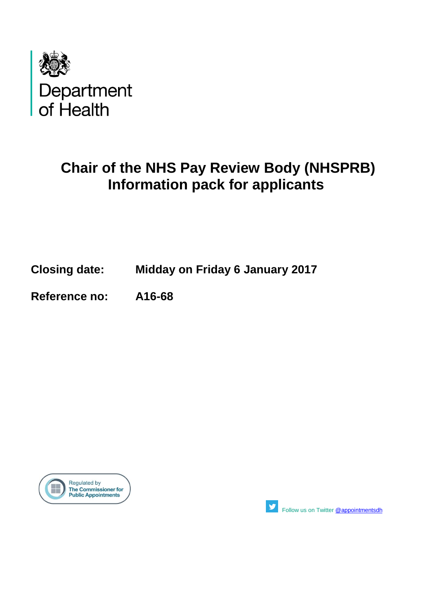

# **Chair of the NHS Pay Review Body (NHSPRB) Information pack for applicants**

## **Closing date: Midday on Friday 6 January 2017**

**Reference no: A16-68**





Followus on Twitter [@appointmentsdh](https://twitter.com/search?q=%40appointmentsdh&src=typd)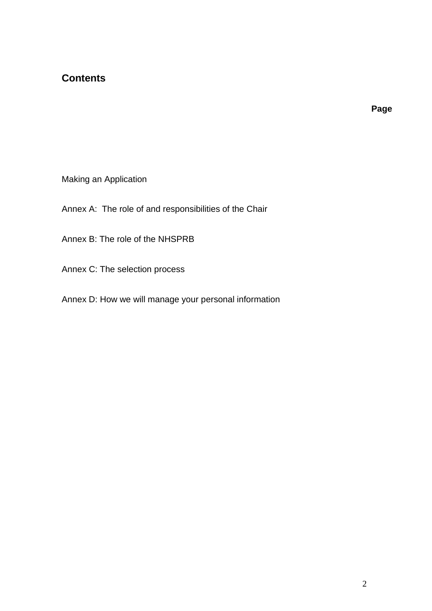## **Contents**

**Page**

Making an Application

Annex A: The role of and responsibilities of the Chair

Annex B: The role of the NHSPRB

Annex C: The selection process

Annex D: How we will manage your personal information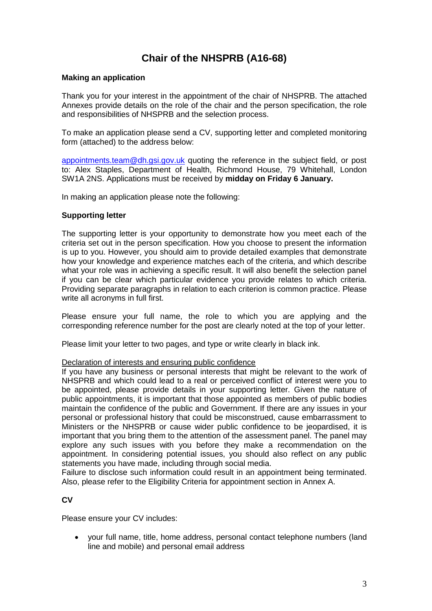## **Chair of the NHSPRB (A16-68)**

#### **Making an application**

Thank you for your interest in the appointment of the chair of NHSPRB. The attached Annexes provide details on the role of the chair and the person specification, the role and responsibilities of NHSPRB and the selection process.

To make an application please send a CV, supporting letter and completed monitoring form (attached) to the address below:

[appointments.team@dh.gsi.gov.uk](mailto:appointments.team@dh.gsi.gov.uk) quoting the reference in the subject field, or post to: Alex Staples, Department of Health, Richmond House, 79 Whitehall, London SW1A 2NS. Applications must be received by **midday on Friday 6 January.**

In making an application please note the following:

#### **Supporting letter**

The supporting letter is your opportunity to demonstrate how you meet each of the criteria set out in the person specification. How you choose to present the information is up to you. However, you should aim to provide detailed examples that demonstrate how your knowledge and experience matches each of the criteria, and which describe what your role was in achieving a specific result. It will also benefit the selection panel if you can be clear which particular evidence you provide relates to which criteria. Providing separate paragraphs in relation to each criterion is common practice. Please write all acronyms in full first.

Please ensure your full name, the role to which you are applying and the corresponding reference number for the post are clearly noted at the top of your letter.

Please limit your letter to two pages, and type or write clearly in black ink.

#### Declaration of interests and ensuring public confidence

If you have any business or personal interests that might be relevant to the work of NHSPRB and which could lead to a real or perceived conflict of interest were you to be appointed, please provide details in your supporting letter. Given the nature of public appointments, it is important that those appointed as members of public bodies maintain the confidence of the public and Government. If there are any issues in your personal or professional history that could be misconstrued, cause embarrassment to Ministers or the NHSPRB or cause wider public confidence to be jeopardised, it is important that you bring them to the attention of the assessment panel. The panel may explore any such issues with you before they make a recommendation on the appointment. In considering potential issues, you should also reflect on any public statements you have made, including through social media.

Failure to disclose such information could result in an appointment being terminated. Also, please refer to the Eligibility Criteria for appointment section in Annex A.

**CV**

Please ensure your CV includes:

 your full name, title, home address, personal contact telephone numbers (land line and mobile) and personal email address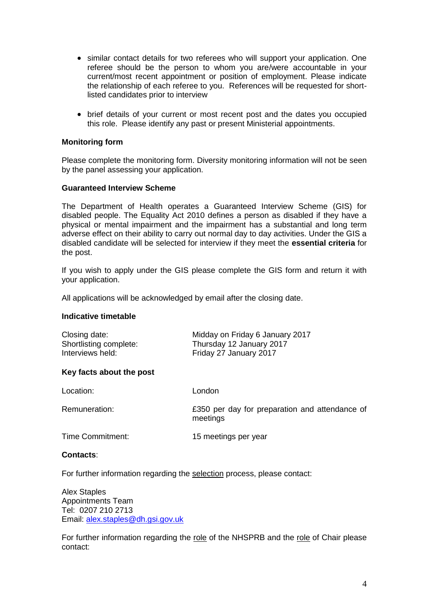- similar contact details for two referees who will support your application. One referee should be the person to whom you are/were accountable in your current/most recent appointment or position of employment. Please indicate the relationship of each referee to you. References will be requested for shortlisted candidates prior to interview
- brief details of your current or most recent post and the dates you occupied this role. Please identify any past or present Ministerial appointments.

#### **Monitoring form**

Please complete the monitoring form. Diversity monitoring information will not be seen by the panel assessing your application.

#### **Guaranteed Interview Scheme**

The Department of Health operates a Guaranteed Interview Scheme (GIS) for disabled people. The Equality Act 2010 defines a person as disabled if they have a physical or mental impairment and the impairment has a substantial and long term adverse effect on their ability to carry out normal day to day activities. Under the GIS a disabled candidate will be selected for interview if they meet the **essential criteria** for the post.

If you wish to apply under the GIS please complete the GIS form and return it with your application.

All applications will be acknowledged by email after the closing date.

#### **Indicative timetable**

| Closing date:          | Midday on Friday 6 January 2017 |
|------------------------|---------------------------------|
| Shortlisting complete: | Thursday 12 January 2017        |
| Interviews held:       | Friday 27 January 2017          |

#### **Key facts about the post**

| Location:        | London                                                     |
|------------------|------------------------------------------------------------|
| Remuneration:    | £350 per day for preparation and attendance of<br>meetings |
| Time Commitment: | 15 meetings per year                                       |

#### **Contacts**:

For further information regarding the selection process, please contact:

Alex Staples Appointments Team Tel: 0207 210 2713 Email: [alex.staples@dh.gsi.gov.uk](mailto:alex.staples@dh.gsi.gov.uk)

For further information regarding the role of the NHSPRB and the role of Chair please contact: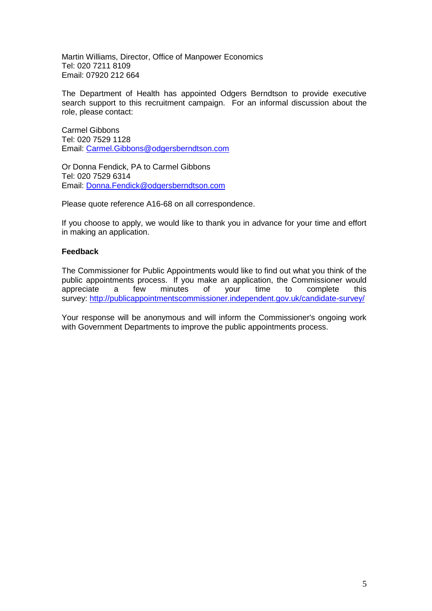Martin Williams, Director, Office of Manpower Economics Tel: 020 7211 8109 Email: 07920 212 664

The Department of Health has appointed Odgers Berndtson to provide executive search support to this recruitment campaign. For an informal discussion about the role, please contact:

Carmel Gibbons Tel: 020 7529 1128 Email: [Carmel.Gibbons@odgersberndtson.com](mailto:Carmel.Gibbons@odgersberndtson.com)

Or Donna Fendick, PA to Carmel Gibbons Tel: 020 7529 6314 Email: [Donna.Fendick@odgersberndtson.com](mailto:Donna.Fendick@odgersberndtson.com)

Please quote reference A16-68 on all correspondence.

If you choose to apply, we would like to thank you in advance for your time and effort in making an application.

#### **Feedback**

The Commissioner for Public Appointments would like to find out what you think of the public appointments process. If you make an application, the Commissioner would appreciate a few minutes of your time to complete this survey: <http://publicappointmentscommissioner.independent.gov.uk/candidate-survey/>

Your response will be anonymous and will inform the Commissioner's ongoing work with Government Departments to improve the public appointments process.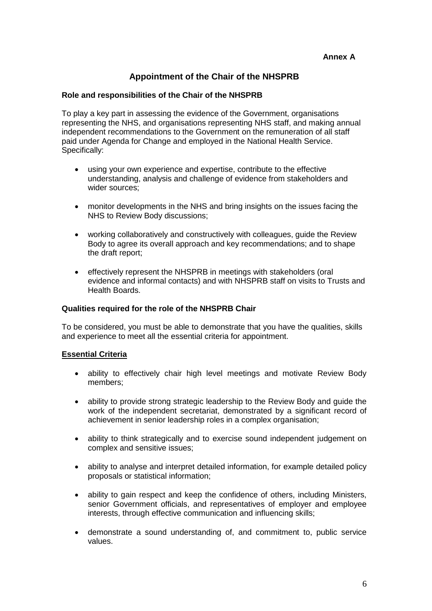### **Appointment of the Chair of the NHSPRB**

#### **Role and responsibilities of the Chair of the NHSPRB**

To play a key part in assessing the evidence of the Government, organisations representing the NHS, and organisations representing NHS staff, and making annual independent recommendations to the Government on the remuneration of all staff paid under Agenda for Change and employed in the National Health Service. Specifically:

- using your own experience and expertise, contribute to the effective understanding, analysis and challenge of evidence from stakeholders and wider sources;
- monitor developments in the NHS and bring insights on the issues facing the NHS to Review Body discussions;
- working collaboratively and constructively with colleagues, guide the Review Body to agree its overall approach and key recommendations; and to shape the draft report;
- effectively represent the NHSPRB in meetings with stakeholders (oral evidence and informal contacts) and with NHSPRB staff on visits to Trusts and Health Boards.

#### **Qualities required for the role of the NHSPRB Chair**

To be considered, you must be able to demonstrate that you have the qualities, skills and experience to meet all the essential criteria for appointment.

#### **Essential Criteria**

- ability to effectively chair high level meetings and motivate Review Body members;
- ability to provide strong strategic leadership to the Review Body and guide the work of the independent secretariat, demonstrated by a significant record of achievement in senior leadership roles in a complex organisation;
- ability to think strategically and to exercise sound independent judgement on complex and sensitive issues;
- ability to analyse and interpret detailed information, for example detailed policy proposals or statistical information;
- ability to gain respect and keep the confidence of others, including Ministers, senior Government officials, and representatives of employer and employee interests, through effective communication and influencing skills:
- demonstrate a sound understanding of, and commitment to, public service values.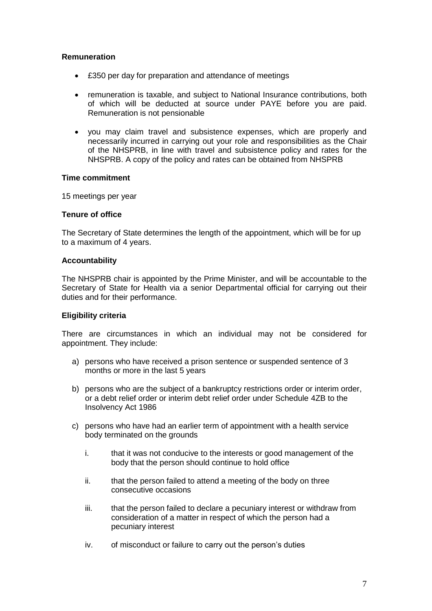#### **Remuneration**

- £350 per day for preparation and attendance of meetings
- remuneration is taxable, and subject to National Insurance contributions, both of which will be deducted at source under PAYE before you are paid. Remuneration is not pensionable
- vou may claim travel and subsistence expenses, which are properly and necessarily incurred in carrying out your role and responsibilities as the Chair of the NHSPRB, in line with travel and subsistence policy and rates for the NHSPRB. A copy of the policy and rates can be obtained from NHSPRB

#### **Time commitment**

15 meetings per year

#### **Tenure of office**

The Secretary of State determines the length of the appointment, which will be for up to a maximum of 4 years.

#### **Accountability**

The NHSPRB chair is appointed by the Prime Minister, and will be accountable to the Secretary of State for Health via a senior Departmental official for carrying out their duties and for their performance.

#### **Eligibility criteria**

There are circumstances in which an individual may not be considered for appointment. They include:

- a) persons who have received a prison sentence or suspended sentence of 3 months or more in the last 5 years
- b) persons who are the subject of a bankruptcy restrictions order or interim order, or a debt relief order or interim debt relief order under Schedule 4ZB to the Insolvency Act 1986
- c) persons who have had an earlier term of appointment with a health service body terminated on the grounds
	- i. that it was not conducive to the interests or good management of the body that the person should continue to hold office
	- ii. that the person failed to attend a meeting of the body on three consecutive occasions
	- iii. that the person failed to declare a pecuniary interest or withdraw from consideration of a matter in respect of which the person had a pecuniary interest
	- iv. of misconduct or failure to carry out the person's duties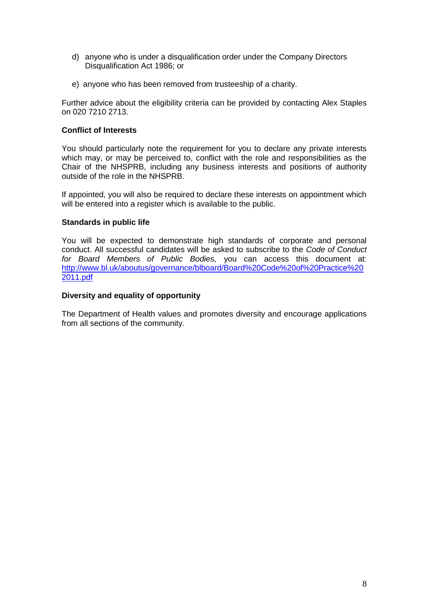- d) anyone who is under a disqualification order under the Company Directors Disqualification Act 1986; or
- e) anyone who has been removed from trusteeship of a charity.

Further advice about the eligibility criteria can be provided by contacting Alex Staples on 020 7210 2713.

#### **Conflict of Interests**

You should particularly note the requirement for you to declare any private interests which may, or may be perceived to, conflict with the role and responsibilities as the Chair of the NHSPRB, including any business interests and positions of authority outside of the role in the NHSPRB.

If appointed, you will also be required to declare these interests on appointment which will be entered into a register which is available to the public.

#### **Standards in public life**

You will be expected to demonstrate high standards of corporate and personal conduct. All successful candidates will be asked to subscribe to the *Code of Conduct for Board Members of Public Bodies,* you can access this document at: [http://www.bl.uk/aboutus/governance/blboard/Board%20Code%20of%20Practice%20](http://www.bl.uk/aboutus/governance/blboard/Board%20Code%20of%20Practice%202011.pdf) [2011.pdf](http://www.bl.uk/aboutus/governance/blboard/Board%20Code%20of%20Practice%202011.pdf)

#### **Diversity and equality of opportunity**

The Department of Health values and promotes diversity and encourage applications from all sections of the community.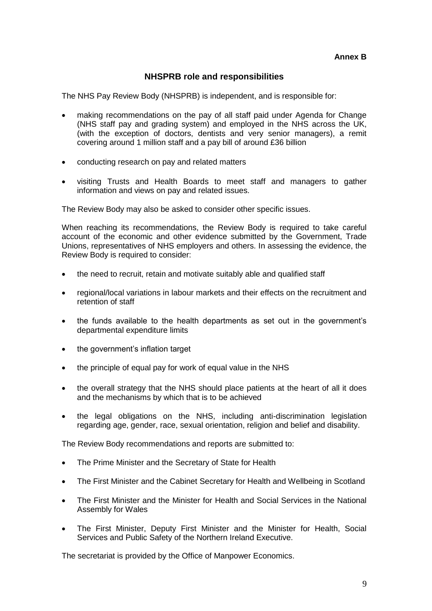#### **NHSPRB role and responsibilities**

The NHS Pay Review Body (NHSPRB) is independent, and is responsible for:

- making recommendations on the pay of all staff paid under Agenda for Change (NHS staff pay and grading system) and employed in the NHS across the UK, (with the exception of doctors, dentists and very senior managers), a remit covering around 1 million staff and a pay bill of around £36 billion
- conducting research on pay and related matters
- visiting Trusts and Health Boards to meet staff and managers to gather information and views on pay and related issues.

The Review Body may also be asked to consider other specific issues.

When reaching its recommendations, the Review Body is required to take careful account of the economic and other evidence submitted by the Government, Trade Unions, representatives of NHS employers and others. In assessing the evidence, the Review Body is required to consider:

- the need to recruit, retain and motivate suitably able and qualified staff
- regional/local variations in labour markets and their effects on the recruitment and retention of staff
- the funds available to the health departments as set out in the government's departmental expenditure limits
- the government's inflation target
- the principle of equal pay for work of equal value in the NHS
- the overall strategy that the NHS should place patients at the heart of all it does and the mechanisms by which that is to be achieved
- the legal obligations on the NHS, including anti-discrimination legislation regarding age, gender, race, sexual orientation, religion and belief and disability.

The Review Body recommendations and reports are submitted to:

- The Prime Minister and the Secretary of State for Health
- The First Minister and the Cabinet Secretary for Health and Wellbeing in Scotland
- The First Minister and the Minister for Health and Social Services in the National Assembly for Wales
- The First Minister, Deputy First Minister and the Minister for Health, Social Services and Public Safety of the Northern Ireland Executive.

The secretariat is provided by the Office of Manpower Economics.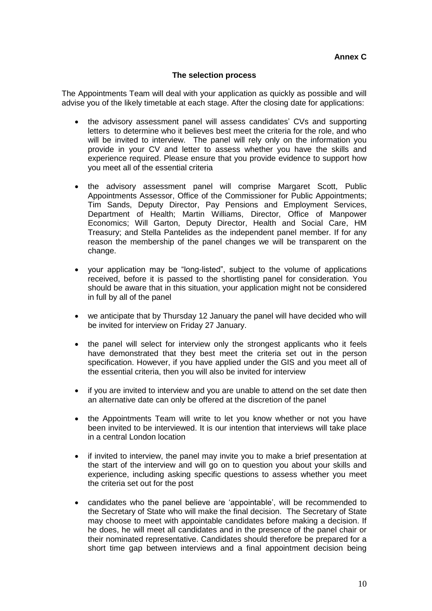#### **The selection process**

The Appointments Team will deal with your application as quickly as possible and will advise you of the likely timetable at each stage. After the closing date for applications:

- the advisory assessment panel will assess candidates' CVs and supporting letters to determine who it believes best meet the criteria for the role, and who will be invited to interview. The panel will rely only on the information you provide in your CV and letter to assess whether you have the skills and experience required. Please ensure that you provide evidence to support how you meet all of the essential criteria
- the advisory assessment panel will comprise Margaret Scott, Public Appointments Assessor, Office of the Commissioner for Public Appointments; Tim Sands, Deputy Director, Pay Pensions and Employment Services, Department of Health; Martin Williams, Director, Office of Manpower Economics; Will Garton, Deputy Director, Health and Social Care, HM Treasury; and Stella Pantelides as the independent panel member. If for any reason the membership of the panel changes we will be transparent on the change.
- your application may be "long-listed", subject to the volume of applications received, before it is passed to the shortlisting panel for consideration. You should be aware that in this situation, your application might not be considered in full by all of the panel
- we anticipate that by Thursday 12 January the panel will have decided who will be invited for interview on Friday 27 January.
- the panel will select for interview only the strongest applicants who it feels have demonstrated that they best meet the criteria set out in the person specification. However, if you have applied under the GIS and you meet all of the essential criteria, then you will also be invited for interview
- if you are invited to interview and you are unable to attend on the set date then an alternative date can only be offered at the discretion of the panel
- the Appointments Team will write to let you know whether or not you have been invited to be interviewed. It is our intention that interviews will take place in a central London location
- if invited to interview, the panel may invite you to make a brief presentation at the start of the interview and will go on to question you about your skills and experience, including asking specific questions to assess whether you meet the criteria set out for the post
- candidates who the panel believe are 'appointable', will be recommended to the Secretary of State who will make the final decision. The Secretary of State may choose to meet with appointable candidates before making a decision. If he does, he will meet all candidates and in the presence of the panel chair or their nominated representative. Candidates should therefore be prepared for a short time gap between interviews and a final appointment decision being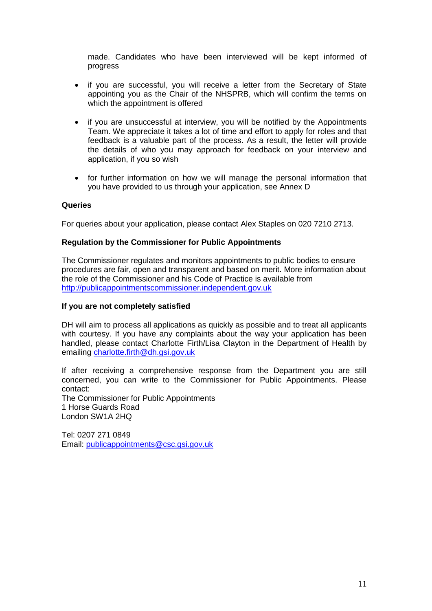made. Candidates who have been interviewed will be kept informed of progress

- if you are successful, you will receive a letter from the Secretary of State appointing you as the Chair of the NHSPRB, which will confirm the terms on which the appointment is offered
- if you are unsuccessful at interview, you will be notified by the Appointments Team. We appreciate it takes a lot of time and effort to apply for roles and that feedback is a valuable part of the process. As a result, the letter will provide the details of who you may approach for feedback on your interview and application, if you so wish
- for further information on how we will manage the personal information that you have provided to us through your application, see Annex D

#### **Queries**

For queries about your application, please contact Alex Staples on 020 7210 2713.

#### **Regulation by the Commissioner for Public Appointments**

The Commissioner regulates and monitors appointments to public bodies to ensure procedures are fair, open and transparent and based on merit. More information about the role of the Commissioner and his Code of Practice is available from [http://publicappointmentscommissioner.independent.gov.uk](http://publicappointmentscommissioner.independent.gov.uk/) 

#### **If you are not completely satisfied**

DH will aim to process all applications as quickly as possible and to treat all applicants with courtesy. If you have any complaints about the way your application has been handled, please contact Charlotte Firth/Lisa Clayton in the Department of Health by emailing [charlotte.firth@dh.gsi.gov.uk](mailto:charlotte.firth@dh.gsi.gov.uk)

If after receiving a comprehensive response from the Department you are still concerned, you can write to the Commissioner for Public Appointments. Please contact:

The Commissioner for Public Appointments 1 Horse Guards Road London SW1A 2HQ

Tel: 0207 271 0849 Email: [publicappointments@csc.gsi.gov.uk](mailto:publicappointments@csc.gsi.gov.uk)